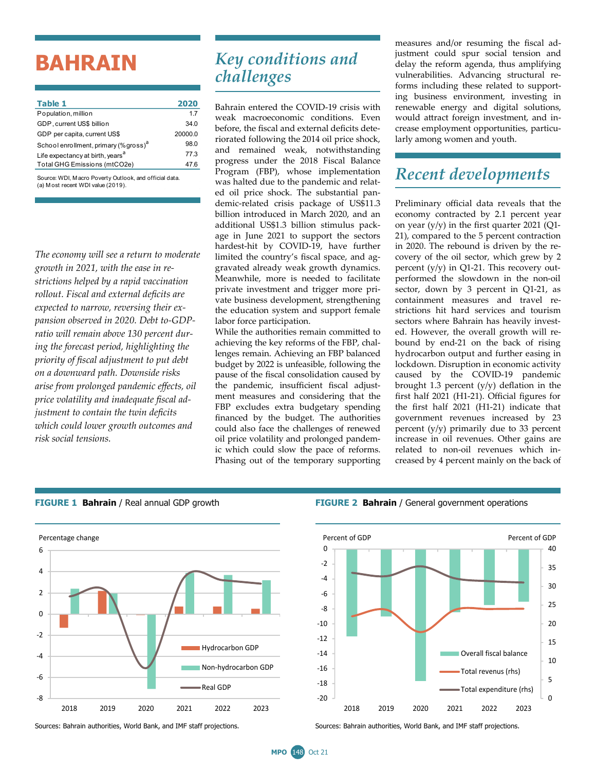# **BAHRAIN**

| Table 1                                           | 2020    |
|---------------------------------------------------|---------|
| Population, million                               | 17      |
| GDP, current US\$ billion                         | 34.0    |
| GDP per capita, current US\$                      | 20000.0 |
| School enrollment, primary (% gross) <sup>a</sup> | 98.0    |
| Life expectancy at birth, years <sup>a</sup>      | 77.3    |
| Total GHG Emissions (mtCO2e)                      | 47 6    |
|                                                   |         |

Source: WDI, M acro Poverty Outlook, and official data. (a) M ost recent WDI value (2019).

*The economy will see a return to moderate growth in 2021, with the ease in restrictions helped by a rapid vaccination rollout. Fiscal and external deficits are expected to narrow, reversing their expansion observed in 2020. Debt to-GDPratio will remain above 130 percent during the forecast period, highlighting the priority of fiscal adjustment to put debt on a downward path. Downside risks arise from prolonged pandemic effects, oil price volatility and inadequate fiscal adjustment to contain the twin deficits which could lower growth outcomes and risk social tensions.*

## *Key conditions and challenges*

Bahrain entered the COVID-19 crisis with weak macroeconomic conditions. Even before, the fiscal and external deficits deteriorated following the 2014 oil price shock, and remained weak, notwithstanding progress under the 2018 Fiscal Balance Program (FBP), whose implementation was halted due to the pandemic and related oil price shock. The substantial pandemic-related crisis package of US\$11.3 billion introduced in March 2020, and an additional US\$1.3 billion stimulus package in June 2021 to support the sectors hardest-hit by COVID-19, have further limited the country's fiscal space, and aggravated already weak growth dynamics. Meanwhile, more is needed to facilitate private investment and trigger more private business development, strengthening the education system and support female labor force participation.

While the authorities remain committed to achieving the key reforms of the FBP, challenges remain. Achieving an FBP balanced budget by 2022 is unfeasible, following the pause of the fiscal consolidation caused by the pandemic, insufficient fiscal adjustment measures and considering that the FBP excludes extra budgetary spending financed by the budget. The authorities could also face the challenges of renewed oil price volatility and prolonged pandemic which could slow the pace of reforms. Phasing out of the temporary supporting measures and/or resuming the fiscal adjustment could spur social tension and delay the reform agenda, thus amplifying vulnerabilities. Advancing structural reforms including these related to supporting business environment, investing in renewable energy and digital solutions, would attract foreign investment, and increase employment opportunities, particularly among women and youth.

### *Recent developments*

Preliminary official data reveals that the economy contracted by 2.1 percent year on year (y/y) in the first quarter 2021 (Q1- 21), compared to the 5 percent contraction in 2020. The rebound is driven by the recovery of the oil sector, which grew by 2 percent (y/y) in Q1-21. This recovery outperformed the slowdown in the non-oil sector, down by 3 percent in Q1-21, as containment measures and travel restrictions hit hard services and tourism sectors where Bahrain has heavily invested. However, the overall growth will rebound by end-21 on the back of rising hydrocarbon output and further easing in lockdown. Disruption in economic activity caused by the COVID-19 pandemic brought 1.3 percent  $(y/y)$  deflation in the first half 2021 (H1-21). Official figures for the first half 2021 (H1-21) indicate that government revenues increased by 23 percent (y/y) primarily due to 33 percent increase in oil revenues. Other gains are related to non-oil revenues which increased by 4 percent mainly on the back of



**FIGURE 1 Bahrain** / Real annual GDP growth **FIGURE 2 Bahrain** / General government operations



Sources: Bahrain authorities, World Bank, and IMF staff projections. Sources: Bahrain authorities, World Bank, and IMF staff projections.